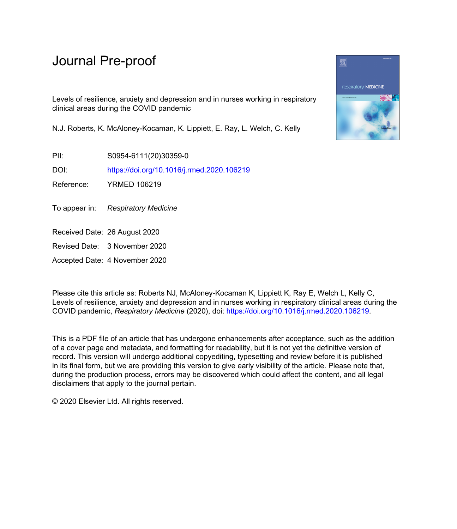# Journal Pre-proof

Levels of resilience, anxiety and depression and in nurses working in respiratory clinical areas during the COVID pandemic

N.J. Roberts, K. McAloney-Kocaman, K. Lippiett, E. Ray, L. Welch, C. Kelly

PII: S0954-6111(20)30359-0

DOI: <https://doi.org/10.1016/j.rmed.2020.106219>

Reference: YRMED 106219

- To appear in: Respiratory Medicine
- Received Date: 26 August 2020
- Revised Date: 3 November 2020
- Accepted Date: 4 November 2020

Please cite this article as: Roberts NJ, McAloney-Kocaman K, Lippiett K, Ray E, Welch L, Kelly C, Levels of resilience, anxiety and depression and in nurses working in respiratory clinical areas during the COVID pandemic, *Respiratory Medicine* (2020), doi:<https://doi.org/10.1016/j.rmed.2020.106219>.

This is a PDF file of an article that has undergone enhancements after acceptance, such as the addition of a cover page and metadata, and formatting for readability, but it is not yet the definitive version of record. This version will undergo additional copyediting, typesetting and review before it is published in its final form, but we are providing this version to give early visibility of the article. Please note that, during the production process, errors may be discovered which could affect the content, and all legal disclaimers that apply to the journal pertain.

© 2020 Elsevier Ltd. All rights reserved.

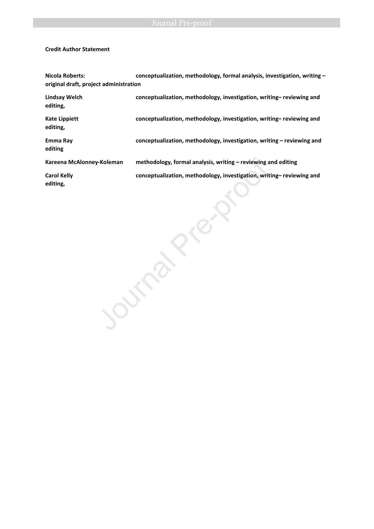#### **Credit Author Statement**

**Nicola Roberts: conceptualization, methodology, formal analysis, investigation, writing – original draft, project administration** 

| <b>Lindsay Welch</b><br>editing, | conceptualization, methodology, investigation, writing-reviewing and     |
|----------------------------------|--------------------------------------------------------------------------|
| <b>Kate Lippiett</b><br>editing, | conceptualization, methodology, investigation, writing–reviewing and     |
| Emma Ray<br>editing              | conceptualization, methodology, investigation, writing $-$ reviewing and |
| Kareena McAlonney-Koleman        | methodology, formal analysis, writing - reviewing and editing            |
| <b>Carol Kelly</b><br>oditina.   | conceptualization, methodology, investigation, writing-reviewing and     |

Kareena McAlonney-Koleman methodology, formal analysis, writing – reviewing a<br>Carol Kelly<br>editing,<br>**Editing,**<br> $\begin{bmatrix}\n\text{Corollity} \\
\text{Cov(1)}\n\end{bmatrix}$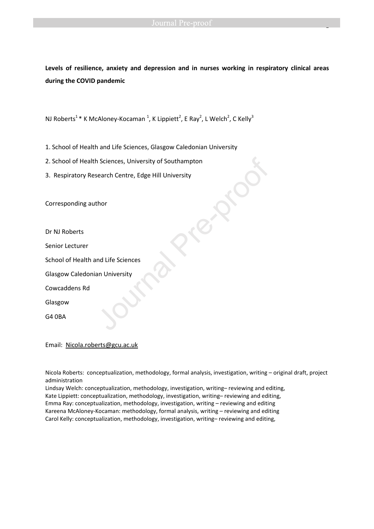**Levels of resilience, anxiety and depression and in nurses working in respiratory clinical areas during the COVID pandemic** 

NJ Roberts<sup>1</sup> \* K McAloney-Kocaman <sup>1</sup>, K Lippiett<sup>2</sup>, E Ray<sup>2</sup>, L Welch<sup>2</sup>, C Kelly<sup>3</sup>

1. School of Health and Life Sciences, Glasgow Caledonian University

2. School of Health Sciences, University of Southampton h Sciences, University of Southampton<br>Search Centre, Edge Hill University<br>thor<br>Ind Life Sciences<br>an University

3. Respiratory Research Centre, Edge Hill University

Corresponding author

Dr NJ Roberts

Senior Lecturer

School of Health and Life Sciences

Glasgow Caledonian University

Cowcaddens Rd

Glasgow

G4 0BA

Email: Nicola.roberts@gcu.ac.uk

Nicola Roberts: conceptualization, methodology, formal analysis, investigation, writing – original draft, project administration

Lindsay Welch: conceptualization, methodology, investigation, writing– reviewing and editing, Kate Lippiett: conceptualization, methodology, investigation, writing– reviewing and editing, Emma Ray: conceptualization, methodology, investigation, writing – reviewing and editing Kareena McAloney-Kocaman: methodology, formal analysis, writing – reviewing and editing Carol Kelly: conceptualization, methodology, investigation, writing– reviewing and editing,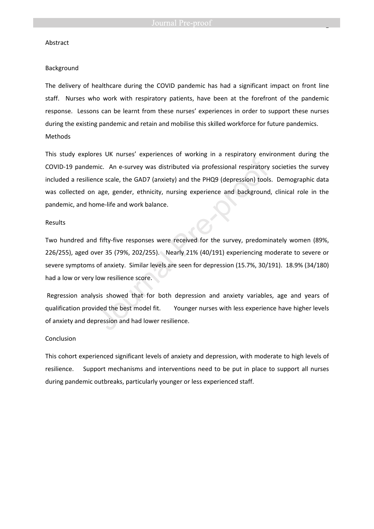#### Abstract

#### Background

The delivery of healthcare during the COVID pandemic has had a significant impact on front line staff. Nurses who work with respiratory patients, have been at the forefront of the pandemic response. Lessons can be learnt from these nurses' experiences in order to support these nurses during the existing pandemic and retain and mobilise this skilled workforce for future pandemics. Methods

This study explores UK nurses' experiences of working in a respiratory environment during the COVID-19 pandemic. An e-survey was distributed via professional respiratory societies the survey included a resilience scale, the GAD7 (anxiety) and the PHQ9 (depression) tools. Demographic data was collected on age, gender, ethnicity, nursing experience and background, clinical role in the pandemic, and home-life and work balance. In the survey was distributed via professional respiratory<br>nic. An e-survey was distributed via professional respiratory<br>nee scale, the GAD7 (anxiety) and the PHQ9 (depression) tools<br>age, gender, ethnicity, nursing experie

#### Results

Two hundred and fifty-five responses were received for the survey, predominately women (89%, 226/255), aged over 35 (79%, 202/255). Nearly 21% (40/191) experiencing moderate to severe or severe symptoms of anxiety. Similar levels are seen for depression (15.7%, 30/191). 18.9% (34/180) had a low or very low resilience score.

 Regression analysis showed that for both depression and anxiety variables, age and years of qualification provided the best model fit. Younger nurses with less experience have higher levels of anxiety and depression and had lower resilience.

#### Conclusion

This cohort experienced significant levels of anxiety and depression, with moderate to high levels of resilience. Support mechanisms and interventions need to be put in place to support all nurses during pandemic outbreaks, particularly younger or less experienced staff.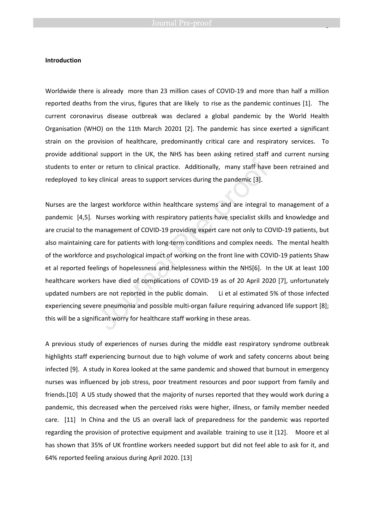U,

### **Introduction**

Worldwide there is already more than 23 million cases of COVID-19 and more than half a million reported deaths from the virus, figures that are likely to rise as the pandemic continues [1]. The current coronavirus disease outbreak was declared a global pandemic by the World Health Organisation (WHO) on the 11th March 20201 [2]. The pandemic has since exerted a significant strain on the provision of healthcare, predominantly critical care and respiratory services. To provide additional support in the UK, the NHS has been asking retired staff and current nursing students to enter or return to clinical practice. Additionally, many staff have been retrained and redeployed to key clinical areas to support services during the pandemic [3].

Nurses are the largest workforce within healthcare systems and are integral to management of a pandemic [4,5]. Nurses working with respiratory patients have specialist skills and knowledge and are crucial to the management of COVID-19 providing expert care not only to COVID-19 patients, but also maintaining care for patients with long-term conditions and complex needs. The mental health of the workforce and psychological impact of working on the front line with COVID-19 patients Shaw et al reported feelings of hopelessness and helplessness within the NHS[6]. In the UK at least 100 healthcare workers have died of complications of COVID-19 as of 20 April 2020 [7], unfortunately updated numbers are not reported in the public domain. Li et al estimated 5% of those infected experiencing severe pneumonia and possible multi-organ failure requiring advanced life support [8]; this will be a significant worry for healthcare staff working in these areas. or return to clinical practice. Additionally, many staff have y clinical areas to support services during the pandemic [3].<br>The pre-proof services during the pandemic [3].<br>The press workforce within healthcare systems and

A previous study of experiences of nurses during the middle east respiratory syndrome outbreak highlights staff experiencing burnout due to high volume of work and safety concerns about being infected [9]. A study in Korea looked at the same pandemic and showed that burnout in emergency nurses was influenced by job stress, poor treatment resources and poor support from family and friends.[10] A US study showed that the majority of nurses reported that they would work during a pandemic, this decreased when the perceived risks were higher, illness, or family member needed care. [11] In China and the US an overall lack of preparedness for the pandemic was reported regarding the provision of protective equipment and available training to use it [12]. Moore et al has shown that 35% of UK frontline workers needed support but did not feel able to ask for it, and 64% reported feeling anxious during April 2020. [13]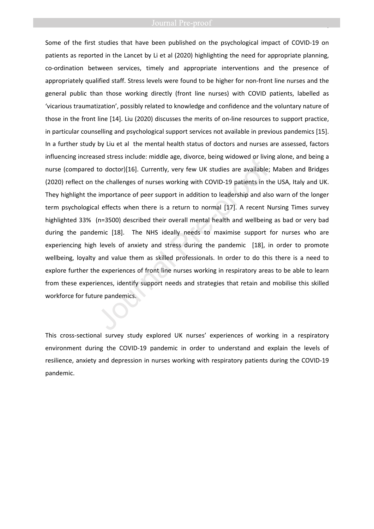Some of the first studies that have been published on the psychological impact of COVID-19 on patients as reported in the Lancet by Li et al (2020) highlighting the need for appropriate planning, co-ordination between services, timely and appropriate interventions and the presence of appropriately qualified staff. Stress levels were found to be higher for non-front line nurses and the general public than those working directly (front line nurses) with COVID patients, labelled as 'vicarious traumatization', possibly related to knowledge and confidence and the voluntary nature of those in the front line [14]. Liu (2020) discusses the merits of on-line resources to support practice, in particular counselling and psychological support services not available in previous pandemics [15]. In a further study by Liu et al the mental health status of doctors and nurses are assessed, factors influencing increased stress include: middle age, divorce, being widowed or living alone, and being a nurse (compared to doctor)[16]. Currently, very few UK studies are available; Maben and Bridges (2020) reflect on the challenges of nurses working with COVID-19 patients in the USA, Italy and UK. They highlight the importance of peer support in addition to leadership and also warn of the longer term psychological effects when there is a return to normal [17]. A recent Nursing Times survey highlighted 33% (n=3500) described their overall mental health and wellbeing as bad or very bad during the pandemic [18]. The NHS ideally needs to maximise support for nurses who are experiencing high levels of anxiety and stress during the pandemic [18], in order to promote wellbeing, loyalty and value them as skilled professionals. In order to do this there is a need to explore further the experiences of front line nurses working in respiratory areas to be able to learn from these experiences, identify support needs and strategies that retain and mobilise this skilled workforce for future pandemics. Sed stress include: middle age, divorce, being widowed or livit<br>to doctor)[16]. Currently, very few UK studies are available;<br>the challenges of nurses working with COVID-19 patients in the<br>importance of peer support in add

This cross-sectional survey study explored UK nurses' experiences of working in a respiratory environment during the COVID-19 pandemic in order to understand and explain the levels of resilience, anxiety and depression in nurses working with respiratory patients during the COVID-19 pandemic.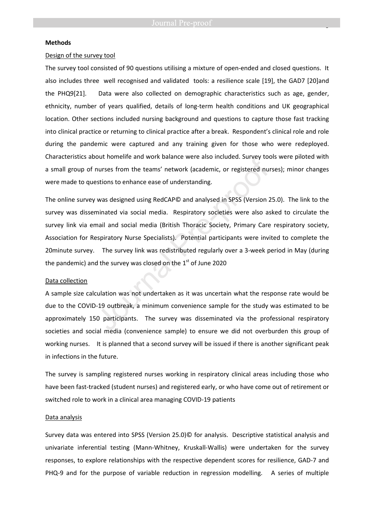#### **Methods**

#### Design of the survey tool

The survey tool consisted of 90 questions utilising a mixture of open-ended and closed questions. It also includes three well recognised and validated tools: a resilience scale [19], the GAD7 [20]and the PHQ9[21]. Data were also collected on demographic characteristics such as age, gender, ethnicity, number of years qualified, details of long-term health conditions and UK geographical location. Other sections included nursing background and questions to capture those fast tracking into clinical practice or returning to clinical practice after a break. Respondent's clinical role and role during the pandemic were captured and any training given for those who were redeployed. Characteristics about homelife and work balance were also included. Survey tools were piloted with a small group of nurses from the teams' network (academic, or registered nurses); minor changes were made to questions to enhance ease of understanding.

The online survey was designed using RedCAP© and analysed in SPSS (Version 25.0). The link to the survey was disseminated via social media. Respiratory societies were also asked to circulate the survey link via email and social media (British Thoracic Society, Primary Care respiratory society, Association for Respiratory Nurse Specialists). Potential participants were invited to complete the 20minute survey. The survey link was redistributed regularly over a 3-week period in May (during the pandemic) and the survey was closed on the  $1<sup>st</sup>$  of June 2020 out nomelie and work balance were also included. Survey toom<br>nurses from the teams' network (academic, or registered nurstions to enhance ease of understanding.<br>was designed using RedCAP© and analysed in SPSS (Version 2<br>mi

#### Data collection

A sample size calculation was not undertaken as it was uncertain what the response rate would be due to the COVID-19 outbreak, a minimum convenience sample for the study was estimated to be approximately 150 participants. The survey was disseminated via the professional respiratory societies and social media (convenience sample) to ensure we did not overburden this group of working nurses. It is planned that a second survey will be issued if there is another significant peak in infections in the future.

The survey is sampling registered nurses working in respiratory clinical areas including those who have been fast-tracked (student nurses) and registered early, or who have come out of retirement or switched role to work in a clinical area managing COVID-19 patients

#### Data analysis

Survey data was entered into SPSS (Version 25.0)© for analysis. Descriptive statistical analysis and univariate inferential testing (Mann-Whitney, Kruskall-Wallis) were undertaken for the survey responses, to explore relationships with the respective dependent scores for resilience, GAD-7 and PHQ-9 and for the purpose of variable reduction in regression modelling. A series of multiple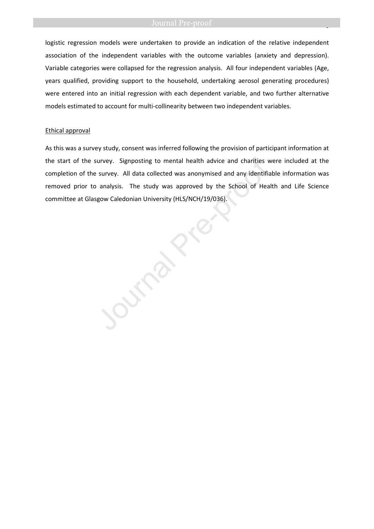logistic regression models were undertaken to provide an indication of the relative independent association of the independent variables with the outcome variables (anxiety and depression). Variable categories were collapsed for the regression analysis. All four independent variables (Age, years qualified, providing support to the household, undertaking aerosol generating procedures) were entered into an initial regression with each dependent variable, and two further alternative models estimated to account for multi-collinearity between two independent variables.

### Ethical approval

As this was a survey study, consent was inferred following the provision of participant information at the start of the survey. Signposting to mental health advice and charities were included at the completion of the survey. All data collected was anonymised and any identifiable information was removed prior to analysis. The study was approved by the School of Health and Life Science committee at Glasgow Caledonian University (HLS/NCH/19/036).

the start of the survey. Signposting to mental health advice and charities we<br>completion of the survey. All data collected was anonymised and any identifiare<br>moved prior to analysis. The study was approved by the School of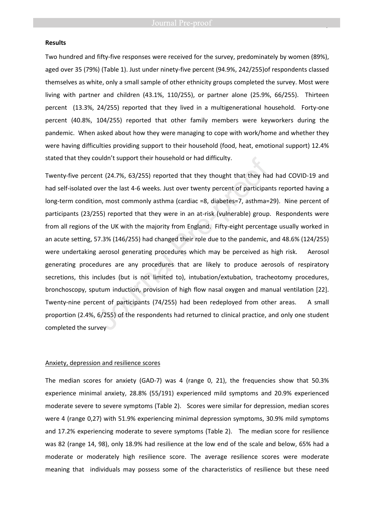#### **Results**

Two hundred and fifty-five responses were received for the survey, predominately by women (89%), aged over 35 (79%) (Table 1). Just under ninety-five percent (94.9%, 242/255)of respondents classed themselves as white, only a small sample of other ethnicity groups completed the survey. Most were living with partner and children (43.1%, 110/255), or partner alone (25.9%, 66/255). Thirteen percent (13.3%, 24/255) reported that they lived in a multigenerational household. Forty-one percent (40.8%, 104/255) reported that other family members were keyworkers during the pandemic. When asked about how they were managing to cope with work/home and whether they were having difficulties providing support to their household (food, heat, emotional support) 12.4% stated that they couldn't support their household or had difficulty.

Twenty-five percent (24.7%, 63/255) reported that they thought that they had had COVID-19 and had self-isolated over the last 4-6 weeks. Just over twenty percent of participants reported having a long-term condition, most commonly asthma (cardiac =8, diabetes=7, asthma=29). Nine percent of participants (23/255) reported that they were in an at-risk (vulnerable) group. Respondents were from all regions of the UK with the majority from England. Fifty-eight percentage usually worked in an acute setting, 57.3% (146/255) had changed their role due to the pandemic, and 48.6% (124/255) were undertaking aerosol generating procedures which may be perceived as high risk. Aerosol generating procedures are any procedures that are likely to produce aerosols of respiratory secretions, this includes (but is not limited to), intubation/extubation, tracheotomy procedures, bronchoscopy, sputum induction, provision of high flow nasal oxygen and manual ventilation [22]. Twenty-nine percent of participants (74/255) had been redeployed from other areas. A small proportion (2.4%, 6/255) of the respondents had returned to clinical practice, and only one student completed the survey ouldn't support their household or had difficulty.<br>
ent (24.7%, 63/255) reported that they thought that they have<br>
over the last 4-6 weeks. Just over twenty percent of participar<br>
on, most commonly asthma (cardiac =8, diab

#### Anxiety, depression and resilience scores

The median scores for anxiety (GAD-7) was 4 (range 0, 21), the frequencies show that 50.3% experience minimal anxiety, 28.8% (55/191) experienced mild symptoms and 20.9% experienced moderate severe to severe symptoms (Table 2). Scores were similar for depression, median scores were 4 (range 0,27) with 51.9% experiencing minimal depression symptoms, 30.9% mild symptoms and 17.2% experiencing moderate to severe symptoms (Table 2). The median score for resilience was 82 (range 14, 98), only 18.9% had resilience at the low end of the scale and below, 65% had a moderate or moderately high resilience score. The average resilience scores were moderate meaning that individuals may possess some of the characteristics of resilience but these need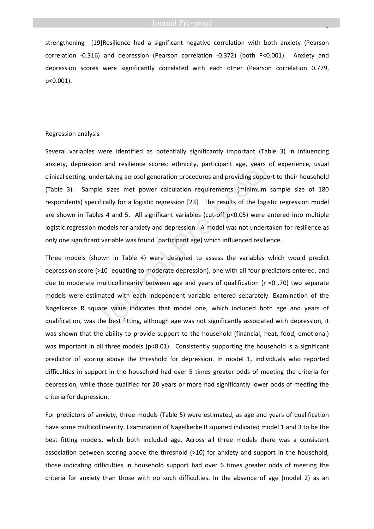U,

strengthening [19]Resilience had a significant negative correlation with both anxiety (Pearson correlation -0.316) and depression (Pearson correlation -0.372) (both P<0.001). Anxiety and depression scores were significantly correlated with each other (Pearson correlation 0.779, p<0.001).

#### Regression analysis

Several variables were identified as potentially significantly important (Table 3) in influencing anxiety, depression and resilience scores: ethnicity, participant age, years of experience, usual clinical setting, undertaking aerosol generation procedures and providing support to their household (Table 3). Sample sizes met power calculation requirements (minimum sample size of 180 respondents) specifically for a logistic regression [23]. The results of the logistic regression model are shown in Tables 4 and 5. All significant variables (cut-off p<0.05) were entered into multiple logistic regression models for anxiety and depression. A model was not undertaken for resilience as only one significant variable was found [participant age] which influenced resilience. on and resilience scores: ethnicity, participant age, years constrained and the station of the station of the station of the station of the station of the station of the station of the station of the station of the station

Three models (shown in Table 4) were designed to assess the variables which would predict depression score (>10 equating to moderate depression), one with all four predictors entered, and due to moderate multicollinearity between age and years of qualification (r =0 .70) two separate models were estimated with each independent variable entered separately. Examination of the Nagelkerke R square value indicates that model one, which included both age and years of qualification, was the best fitting, although age was not significantly associated with depression, it was shown that the ability to provide support to the household (financial, heat, food, emotional) was important in all three models (p<0.01). Consistently supporting the household is a significant predictor of scoring above the threshold for depression. In model 1, individuals who reported difficulties in support in the household had over 5 times greater odds of meeting the criteria for depression, while those qualified for 20 years or more had significantly lower odds of meeting the criteria for depression.

For predictors of anxiety, three models (Table 5) were estimated, as age and years of qualification have some multicollinearity. Examination of Nagelkerke R squared indicated model 1 and 3 to be the best fitting models, which both included age. Across all three models there was a consistent association between scoring above the threshold (>10) for anxiety and support in the household, those indicating difficulties in household support had over 6 times greater odds of meeting the criteria for anxiety than those with no such difficulties. In the absence of age (model 2) as an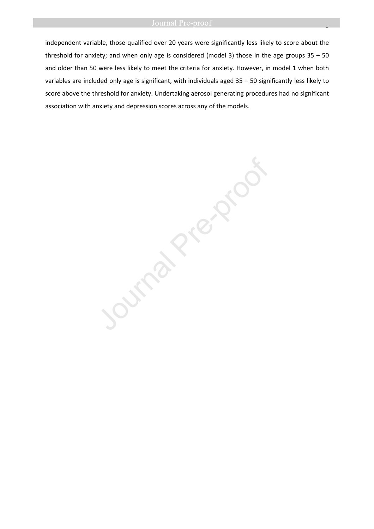independent variable, those qualified over 20 years were significantly less likely to score about the threshold for anxiety; and when only age is considered (model 3) those in the age groups 35 – 50 and older than 50 were less likely to meet the criteria for anxiety. However, in model 1 when both variables are included only age is significant, with individuals aged 35 – 50 significantly less likely to score above the threshold for anxiety. Undertaking aerosol generating procedures had no significant association with anxiety and depression scores across any of the models.

Jurnal Pre-proof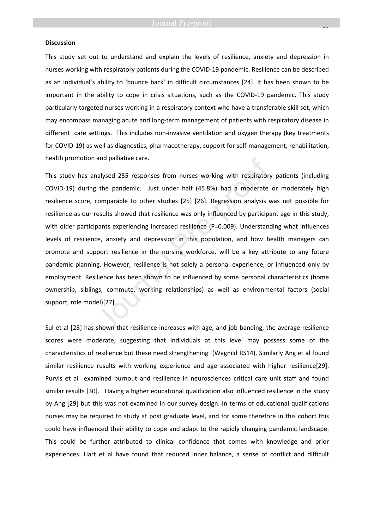$\overline{a}$ 

#### **Discussion**

This study set out to understand and explain the levels of resilience, anxiety and depression in nurses working with respiratory patients during the COVID-19 pandemic. Resilience can be described as an individual's ability to 'bounce back' in difficult circumstances [24]. It has been shown to be important in the ability to cope in crisis situations, such as the COVID-19 pandemic. This study particularly targeted nurses working in a respiratory context who have a transferable skill set, which may encompass managing acute and long-term management of patients with respiratory disease in different care settings. This includes non-invasive ventilation and oxygen therapy (key treatments for COVID-19) as well as diagnostics, pharmacotherapy, support for self-management, rehabilitation, health promotion and palliative care.

This study has analysed 255 responses from nurses working with respiratory patients (including COVID-19) during the pandemic. Just under half (45.8%) had a moderate or moderately high resilience score, comparable to other studies [25] [26]. Regression analysis was not possible for resilience as our results showed that resilience was only influenced by participant age in this study, with older participants experiencing increased resilience (P=0.009). Understanding what influences levels of resilience, anxiety and depression in this population, and how health managers can promote and support resilience in the nursing workforce, will be a key attribute to any future pandemic planning. However, resilience is not solely a personal experience, or influenced only by employment. Resilience has been shown to be influenced by some personal characteristics (home ownership, siblings, commute, working relationships) as well as environmental factors (social support, role model)[27]. and palliative care.<br>
Inalysed 255 responses from nurses working with respiratory<br>
It the pandemic. Just under half (45.8%) had a moderate<br>
comparable to other studies [25] [26]. Regression analysis v<br>
results showed that

Sul et al [28] has shown that resilience increases with age, and job banding, the average resilience scores were moderate, suggesting that individuals at this level may possess some of the characteristics of resilience but these need strengthening (Wagnild RS14). Similarly Ang et al found similar resilience results with working experience and age associated with higher resilience[29]. Purvis et al examined burnout and resilience in neurosciences critical care unit staff and found similar results [30]. Having a higher educational qualification also influenced resilience in the study by Ang [29] but this was not examined in our survey design. In terms of educational qualifications nurses may be required to study at post graduate level, and for some therefore in this cohort this could have influenced their ability to cope and adapt to the rapidly changing pandemic landscape. This could be further attributed to clinical confidence that comes with knowledge and prior experiences. Hart et al have found that reduced inner balance, a sense of conflict and difficult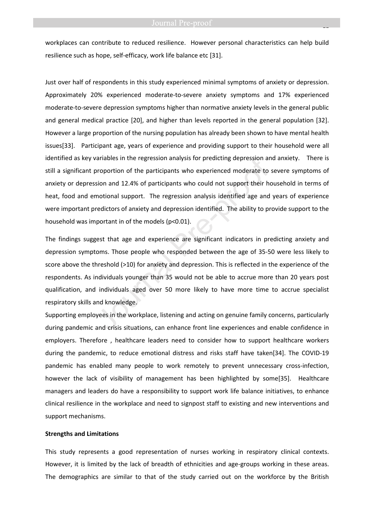workplaces can contribute to reduced resilience. However personal characteristics can help build resilience such as hope, self-efficacy, work life balance etc [31].

11

Just over half of respondents in this study experienced minimal symptoms of anxiety or depression. Approximately 20% experienced moderate-to-severe anxiety symptoms and 17% experienced moderate-to-severe depression symptoms higher than normative anxiety levels in the general public and general medical practice [20], and higher than levels reported in the general population [32]. However a large proportion of the nursing population has already been shown to have mental health issues[33]. Participant age, years of experience and providing support to their household were all identified as key variables in the regression analysis for predicting depression and anxiety. There is still a significant proportion of the participants who experienced moderate to severe symptoms of anxiety or depression and 12.4% of participants who could not support their household in terms of heat, food and emotional support. The regression analysis identified age and years of experience were important predictors of anxiety and depression identified. The ability to provide support to the household was important in of the models (p<0.01).

The findings suggest that age and experience are significant indicators in predicting anxiety and depression symptoms. Those people who responded between the age of 35-50 were less likely to score above the threshold (>10) for anxiety and depression. This is reflected in the experience of the respondents. As individuals younger than 35 would not be able to accrue more than 20 years post qualification, and individuals aged over 50 more likely to have more time to accrue specialist respiratory skills and knowledge. rariables in the regression analysis for predicting depression an<br>oroportion of the participants who experienced moderate to<br>sion and 12.4% of participants who could not support their him<br>ordional support. The regression

Supporting employees in the workplace, listening and acting on genuine family concerns, particularly during pandemic and crisis situations, can enhance front line experiences and enable confidence in employers. Therefore , healthcare leaders need to consider how to support healthcare workers during the pandemic, to reduce emotional distress and risks staff have taken[34]. The COVID-19 pandemic has enabled many people to work remotely to prevent unnecessary cross-infection, however the lack of visibility of management has been highlighted by some[35]. Healthcare managers and leaders do have a responsibility to support work life balance initiatives, to enhance clinical resilience in the workplace and need to signpost staff to existing and new interventions and support mechanisms.

#### **Strengths and Limitations**

This study represents a good representation of nurses working in respiratory clinical contexts. However, it is limited by the lack of breadth of ethnicities and age-groups working in these areas. The demographics are similar to that of the study carried out on the workforce by the British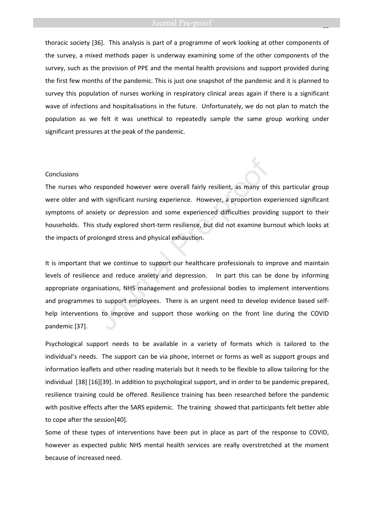.<br>ب

thoracic society [36]. This analysis is part of a programme of work looking at other components of the survey, a mixed methods paper is underway examining some of the other components of the survey, such as the provision of PPE and the mental health provisions and support provided during the first few months of the pandemic. This is just one snapshot of the pandemic and it is planned to survey this population of nurses working in respiratory clinical areas again if there is a significant wave of infections and hospitalisations in the future. Unfortunately, we do not plan to match the population as we felt it was unethical to repeatedly sample the same group working under significant pressures at the peak of the pandemic.

### **Conclusions**

The nurses who responded however were overall fairly resilient, as many of this particular group were older and with significant nursing experience. However, a proportion experienced significant symptoms of anxiety or depression and some experienced difficulties providing support to their households. This study explored short-term resilience, but did not examine burnout which looks at the impacts of prolonged stress and physical exhaustion.

It is important that we continue to support our healthcare professionals to improve and maintain levels of resilience and reduce anxiety and depression. In part this can be done by informing appropriate organisations, NHS management and professional bodies to implement interventions and programmes to support employees. There is an urgent need to develop evidence based selfhelp interventions to improve and support those working on the front line during the COVID pandemic [37]. responded however were overall fairly resilient, as many of<br>
ith significant nursing experience. However, a proportion ex<br>
iety or depression and some experienced difficulties provid<br>
study explored short-term resilience,

Psychological support needs to be available in a variety of formats which is tailored to the individual's needs. The support can be via phone, internet or forms as well as support groups and information leaflets and other reading materials but it needs to be flexible to allow tailoring for the individual [38] [16][39]. In addition to psychological support, and in order to be pandemic prepared, resilience training could be offered. Resilience training has been researched before the pandemic with positive effects after the SARS epidemic. The training showed that participants felt better able to cope after the session[40].

Some of these types of interventions have been put in place as part of the response to COVID, however as expected public NHS mental health services are really overstretched at the moment because of increased need.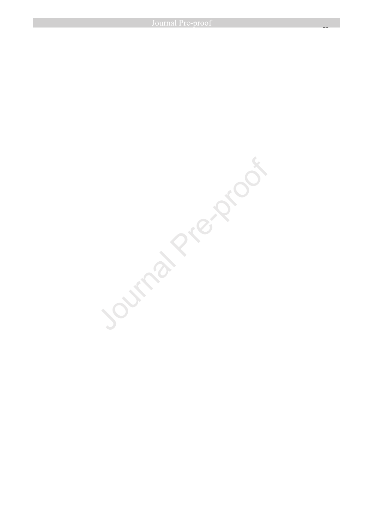Journal Pre-proof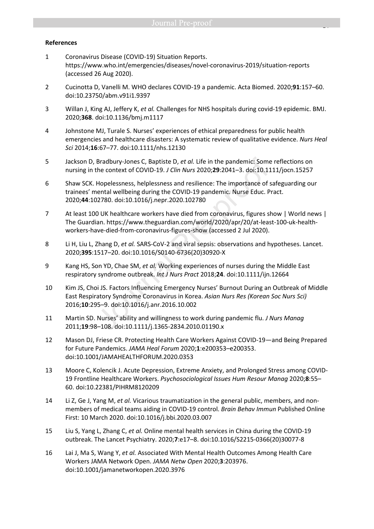$\overline{a}$ 

### **References**

- 1 Coronavirus Disease (COVID-19) Situation Reports. https://www.who.int/emergencies/diseases/novel-coronavirus-2019/situation-reports (accessed 26 Aug 2020).
- 2 Cucinotta D, Vanelli M. WHO declares COVID-19 a pandemic. Acta Biomed. 2020;**91**:157–60. doi:10.23750/abm.v91i1.9397
- 3 Willan J, King AJ, Jeffery K, *et al.* Challenges for NHS hospitals during covid-19 epidemic. BMJ. 2020;**368**. doi:10.1136/bmj.m1117
- 4 Johnstone MJ, Turale S. Nurses' experiences of ethical preparedness for public health emergencies and healthcare disasters: A systematic review of qualitative evidence. *Nurs Heal Sci* 2014;**16**:67–77. doi:10.1111/nhs.12130
- 5 Jackson D, Bradbury-Jones C, Baptiste D, *et al.* Life in the pandemic: Some reflections on nursing in the context of COVID-19. *J Clin Nurs* 2020;**29**:2041–3. doi:10.1111/jocn.15257
- 6 Shaw SCK. Hopelessness, helplessness and resilience: The importance of safeguarding our trainees' mental wellbeing during the COVID-19 pandemic. Nurse Educ. Pract. 2020;**44**:102780. doi:10.1016/j.nepr.2020.102780 Bradbury-Jones C, Baptiste D, *et al.* Life in the pandemic: Some<br>the context of COVID-19. *J Clin Nurs* 2020;29:2041-3. doi:10.11<br>Hopelessness, helplessness and resilience: The importance of sental wellbeing during the CO
- 7 At least 100 UK healthcare workers have died from coronavirus, figures show | World news | The Guardian. https://www.theguardian.com/world/2020/apr/20/at-least-100-uk-healthworkers-have-died-from-coronavirus-figures-show (accessed 2 Jul 2020).
- 8 Li H, Liu L, Zhang D, *et al.* SARS-CoV-2 and viral sepsis: observations and hypotheses. Lancet. 2020;**395**:1517–20. doi:10.1016/S0140-6736(20)30920-X
- 9 Kang HS, Son YD, Chae SM, *et al.* Working experiences of nurses during the Middle East respiratory syndrome outbreak. *Int J Nurs Pract* 2018;**24**. doi:10.1111/ijn.12664
- 10 Kim JS, Choi JS. Factors Influencing Emergency Nurses' Burnout During an Outbreak of Middle East Respiratory Syndrome Coronavirus in Korea. *Asian Nurs Res (Korean Soc Nurs Sci)* 2016;**10**:295–9. doi:10.1016/j.anr.2016.10.002
- 11 Martin SD. Nurses' ability and willingness to work during pandemic flu. *J Nurs Manag* 2011;**19**:98–108. doi:10.1111/j.1365-2834.2010.01190.x
- 12 Mason DJ, Friese CR. Protecting Health Care Workers Against COVID-19—and Being Prepared for Future Pandemics. *JAMA Heal Forum* 2020;**1**:e200353–e200353. doi:10.1001/JAMAHEALTHFORUM.2020.0353
- 13 Moore C, Kolencik J. Acute Depression, Extreme Anxiety, and Prolonged Stress among COVID-19 Frontline Healthcare Workers. *Psychosociological Issues Hum Resour Manag* 2020;**8**:55– 60. doi:10.22381/PIHRM8120209
- 14 Li Z, Ge J, Yang M, *et al.* Vicarious traumatization in the general public, members, and nonmembers of medical teams aiding in COVID-19 control. *Brain Behav Immun* Published Online First: 10 March 2020. doi:10.1016/j.bbi.2020.03.007
- 15 Liu S, Yang L, Zhang C, *et al.* Online mental health services in China during the COVID-19 outbreak. The Lancet Psychiatry. 2020;**7**:e17–8. doi:10.1016/S2215-0366(20)30077-8
- 16 Lai J, Ma S, Wang Y, *et al.* Associated With Mental Health Outcomes Among Health Care Workers JAMA Network Open. *JAMA Netw Open* 2020;**3**:203976. doi:10.1001/jamanetworkopen.2020.3976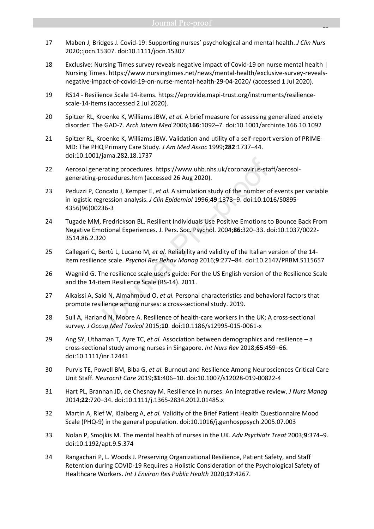17 Maben J, Bridges J. Covid-19: Supporting nurses' psychological and mental health. *J Clin Nurs* 2020;:jocn.15307. doi:10.1111/jocn.15307

 $\overline{a}$ 

- 18 Exclusive: Nursing Times survey reveals negative impact of Covid-19 on nurse mental health | Nursing Times. https://www.nursingtimes.net/news/mental-health/exclusive-survey-revealsnegative-impact-of-covid-19-on-nurse-mental-health-29-04-2020/ (accessed 1 Jul 2020).
- 19 RS14 Resilience Scale 14-items. https://eprovide.mapi-trust.org/instruments/resiliencescale-14-items (accessed 2 Jul 2020).
- 20 Spitzer RL, Kroenke K, Williams JBW, *et al.* A brief measure for assessing generalized anxiety disorder: The GAD-7. *Arch Intern Med* 2006;**166**:1092–7. doi:10.1001/archinte.166.10.1092
- 21 Spitzer RL, Kroenke K, Williams JBW. Validation and utility of a self-report version of PRIME-MD: The PHQ Primary Care Study. *J Am Med Assoc* 1999;**282**:1737–44. doi:10.1001/jama.282.18.1737
- 22 Aerosol generating procedures. https://www.uhb.nhs.uk/coronavirus-staff/aerosolgenerating-procedures.htm (accessed 26 Aug 2020).
- 23 Peduzzi P, Concato J, Kemper E, *et al.* A simulation study of the number of events per variable in logistic regression analysis. *J Clin Epidemiol* 1996;**49**:1373–9. doi:10.1016/S0895- 4356(96)00236-3 17 and 22.16.1737<br>
nerating procedures. https://www.uhb.nhs.uk/coronavirus-sta-<br>
procedures.htm (accessed 26 Aug 2020).<br>
Concato J, Kemper E, et al. A simulation study of the number of<br>
negression analysis. J Clin Epidemio
- 24 Tugade MM, Fredrickson BL. Resilient Individuals Use Positive Emotions to Bounce Back From Negative Emotional Experiences. J. Pers. Soc. Psychol. 2004;**86**:320–33. doi:10.1037/0022- 3514.86.2.320
- 25 Callegari C, Bertù L, Lucano M, *et al.* Reliability and validity of the Italian version of the 14 item resilience scale. *Psychol Res Behav Manag* 2016;**9**:277–84. doi:10.2147/PRBM.S115657
- 26 Wagnild G. The resilience scale user's guide: For the US English version of the Resilience Scale and the 14-item Resilience Scale (RS-14). 2011.
- 27 Alkaissi A, Said N, Almahmoud O, *et al.* Personal characteristics and behavioral factors that promote resilience among nurses: a cross-sectional study. 2019.
- 28 Sull A, Harland N, Moore A. Resilience of health-care workers in the UK; A cross-sectional survey. *J Occup Med Toxicol* 2015;**10**. doi:10.1186/s12995-015-0061-x
- 29 Ang SY, Uthaman T, Ayre TC, *et al.* Association between demographics and resilience a cross-sectional study among nurses in Singapore. *Int Nurs Rev* 2018;**65**:459–66. doi:10.1111/inr.12441
- 30 Purvis TE, Powell BM, Biba G, *et al.* Burnout and Resilience Among Neurosciences Critical Care Unit Staff. *Neurocrit Care* 2019;**31**:406–10. doi:10.1007/s12028-019-00822-4
- 31 Hart PL, Brannan JD, de Chesnay M. Resilience in nurses: An integrative review. *J Nurs Manag* 2014;**22**:720–34. doi:10.1111/j.1365-2834.2012.01485.x
- 32 Martin A, Rief W, Klaiberg A, *et al.* Validity of the Brief Patient Health Questionnaire Mood Scale (PHQ-9) in the general population. doi:10.1016/j.genhosppsych.2005.07.003
- 33 Nolan P, Smojkis M. The mental health of nurses in the UK. *Adv Psychiatr Treat* 2003;**9**:374–9. doi:10.1192/apt.9.5.374
- 34 Rangachari P, L. Woods J. Preserving Organizational Resilience, Patient Safety, and Staff Retention during COVID-19 Requires a Holistic Consideration of the Psychological Safety of Healthcare Workers. *Int J Environ Res Public Health* 2020;**17**:4267.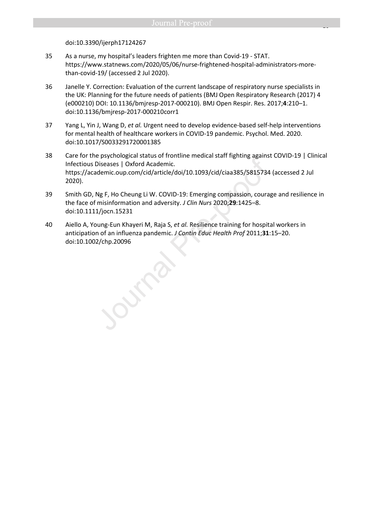$\overline{\phantom{a}}$ 

doi:10.3390/ijerph17124267

- 35 As a nurse, my hospital's leaders frighten me more than Covid-19 STAT. https://www.statnews.com/2020/05/06/nurse-frightened-hospital-administrators-morethan-covid-19/ (accessed 2 Jul 2020).
- 36 Janelle Y. Correction: Evaluation of the current landscape of respiratory nurse specialists in the UK: Planning for the future needs of patients (BMJ Open Respiratory Research (2017) 4 (e000210) DOI: 10.1136/bmjresp-2017-000210). BMJ Open Respir. Res. 2017;**4**:210–1. doi:10.1136/bmjresp-2017-000210corr1
- 37 Yang L, Yin J, Wang D, *et al.* Urgent need to develop evidence-based self-help interventions for mental health of healthcare workers in COVID-19 pandemic. Psychol. Med. 2020. doi:10.1017/S0033291720001385
- 38 Care for the psychological status of frontline medical staff fighting against COVID-19 | Clinical Infectious Diseases | Oxford Academic. https://academic.oup.com/cid/article/doi/10.1093/cid/ciaa385/5815734 (accessed 2 Jul 2020). Lifectious Diseases | Oxford Academic.<br>
Infectious Diseases | Oxford Academic.<br>
https://academic.oup.com/cid/article/doi/10.1093/cid/ciaa385/5815734<br>
2020).<br>
Smith GD, Ng F, Ho Cheung Li W. COVID-19: Emerging compassion, c
- 39 Smith GD, Ng F, Ho Cheung Li W. COVID-19: Emerging compassion, courage and resilience in the face of misinformation and adversity. *J Clin Nurs* 2020;**29**:1425–8. doi:10.1111/jocn.15231
- 40 Aiello A, Young-Eun Khayeri M, Raja S, *et al.* Resilience training for hospital workers in anticipation of an influenza pandemic. *J Contin Educ Health Prof* 2011;**31**:15–20. doi:10.1002/chp.20096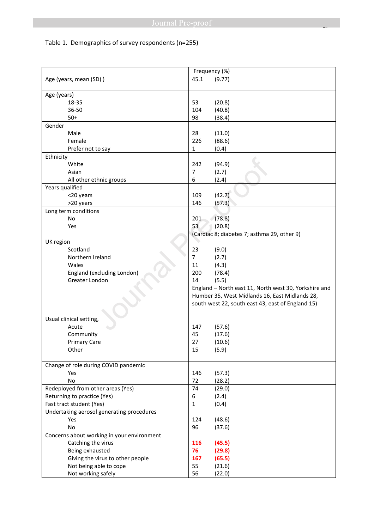$\overline{a}$ 

## Table 1. Demographics of survey respondents (n=255)

|                                            | Frequency (%)                                         |
|--------------------------------------------|-------------------------------------------------------|
| Age (years, mean (SD))                     | 45.1<br>(9.77)                                        |
|                                            |                                                       |
| Age (years)                                |                                                       |
| 18-35                                      | 53<br>(20.8)                                          |
| 36-50                                      | 104<br>(40.8)                                         |
| $50+$                                      | 98<br>(38.4)                                          |
| Gender                                     |                                                       |
| Male                                       | 28<br>(11.0)                                          |
| Female                                     | 226<br>(88.6)                                         |
| Prefer not to say                          | (0.4)<br>1                                            |
| Ethnicity                                  |                                                       |
| White                                      | 242<br>(94.9)                                         |
| Asian                                      | 7<br>(2.7)                                            |
| All other ethnic groups                    | 6<br>(2.4)                                            |
| Years qualified                            |                                                       |
| <20 years                                  | 109<br>(42.7)                                         |
| >20 years                                  | 146<br>(57.3)                                         |
| Long term conditions                       |                                                       |
| <b>No</b>                                  | 201<br>(78.8)                                         |
| Yes                                        | 53<br>(20.8)                                          |
|                                            | (Cardiac 8; diabetes 7; asthma 29, other 9)           |
| UK region                                  |                                                       |
| Scotland                                   | 23<br>(9.0)                                           |
| Northern Ireland                           | $\overline{7}$<br>(2.7)                               |
| Wales                                      | 11<br>(4.3)                                           |
| England (excluding London)                 | 200<br>(78.4)                                         |
| Greater London                             | 14<br>(5.5)                                           |
|                                            | England - North east 11, North west 30, Yorkshire and |
|                                            | Humber 35, West Midlands 16, East Midlands 28,        |
|                                            | south west 22, south east 43, east of England 15)     |
|                                            |                                                       |
| Usual clinical setting,                    |                                                       |
| Acute                                      | 147<br>(57.6)                                         |
| Community                                  | 45<br>(17.6)                                          |
| <b>Primary Care</b>                        | 27<br>(10.6)                                          |
| Other                                      | (5.9)<br>15                                           |
|                                            |                                                       |
| Change of role during COVID pandemic       |                                                       |
| Yes                                        | 146<br>(57.3)                                         |
| No                                         | 72<br>(28.2)                                          |
| Redeployed from other areas (Yes)          | 74<br>(29.0)                                          |
| Returning to practice (Yes)                | (2.4)<br>6                                            |
| Fast tract student (Yes)                   | (0.4)<br>1                                            |
| Undertaking aerosol generating procedures  |                                                       |
| Yes                                        | 124<br>(48.6)                                         |
| <b>No</b>                                  | 96<br>(37.6)                                          |
| Concerns about working in your environment |                                                       |
| Catching the virus                         | 116<br>(45.5)                                         |
| Being exhausted                            | 76<br>(29.8)                                          |
| Giving the virus to other people           | (65.5)<br>167                                         |
| Not being able to cope                     | 55<br>(21.6)                                          |
| Not working safely                         | 56<br>(22.0)                                          |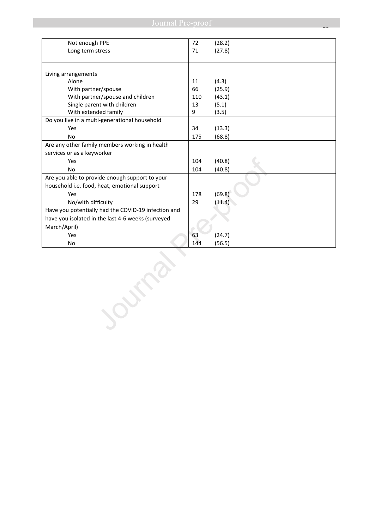$\overline{a}$ 

| Not enough PPE                                      | 72  | (28.2) |
|-----------------------------------------------------|-----|--------|
| Long term stress                                    | 71  | (27.8) |
|                                                     |     |        |
| Living arrangements                                 |     |        |
| Alone                                               | 11  | (4.3)  |
| With partner/spouse                                 | 66  | (25.9) |
| With partner/spouse and children                    | 110 | (43.1) |
| Single parent with children                         | 13  | (5.1)  |
| With extended family                                | 9   | (3.5)  |
| Do you live in a multi-generational household       |     |        |
| Yes                                                 | 34  | (13.3) |
| No                                                  | 175 | (68.8) |
| Are any other family members working in health      |     |        |
| services or as a keyworker                          |     |        |
| Yes                                                 | 104 | (40.8) |
| No                                                  | 104 | (40.8) |
| Are you able to provide enough support to your      |     |        |
| household i.e. food, heat, emotional support        |     |        |
| Yes                                                 | 178 | (69.8) |
| No/with difficulty                                  | 29  | (11.4) |
| Have you potentially had the COVID-19 infection and |     |        |
| have you isolated in the last 4-6 weeks (surveyed   |     |        |
| March/April)                                        |     |        |
| Yes                                                 | 63  | (24.7) |
| No                                                  | 144 | (56.5) |
|                                                     |     |        |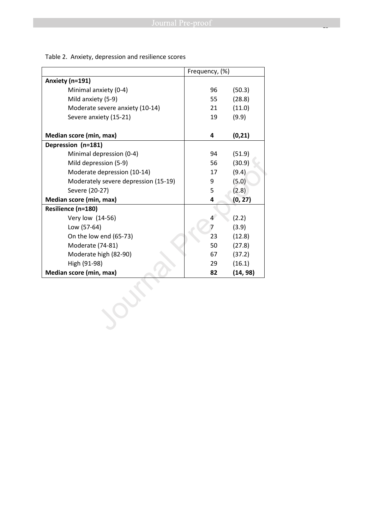ار۔

|                                      | Frequency, (%) |          |
|--------------------------------------|----------------|----------|
| Anxiety (n=191)                      |                |          |
| Minimal anxiety (0-4)                | 96             | (50.3)   |
| Mild anxiety (5-9)                   | 55             | (28.8)   |
| Moderate severe anxiety (10-14)      | 21             | (11.0)   |
| Severe anxiety (15-21)               | 19             | (9.9)    |
|                                      |                |          |
| Median score (min, max)              | 4              | (0, 21)  |
| Depression (n=181)                   |                |          |
| Minimal depression (0-4)             | 94             | (51.9)   |
| Mild depression (5-9)                | 56             | (30.9)   |
| Moderate depression (10-14)          | 17             | (9.4)    |
| Moderately severe depression (15-19) | 9              | (5.0)    |
| Severe (20-27)                       | 5              | (2.8)    |
| Median score (min, max)              | 4              | (0, 27)  |
| Resilience (n=180)                   |                |          |
| Very low (14-56)                     | $\overline{4}$ | (2.2)    |
| Low (57-64)                          | 7              | (3.9)    |
| On the low end (65-73)               | 23             | (12.8)   |
| Moderate (74-81)                     | 50             | (27.8)   |
| Moderate high (82-90)                | 67             | (37.2)   |
| High (91-98)                         | 29             | (16.1)   |
| Median score (min, max)              | 82             | (14, 98) |
|                                      |                |          |
|                                      |                |          |
|                                      |                |          |
|                                      |                |          |
|                                      |                |          |
|                                      |                |          |

Table 2. Anxiety, depression and resilience scores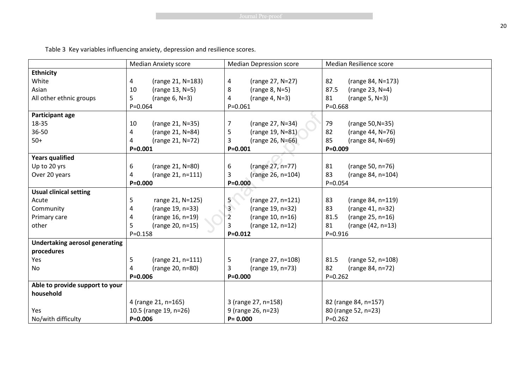|                                       | <b>Median Anxiety score</b> |                       |                        | <b>Median Depression score</b> | Median Resilience score |                     |  |  |
|---------------------------------------|-----------------------------|-----------------------|------------------------|--------------------------------|-------------------------|---------------------|--|--|
| <b>Ethnicity</b>                      |                             |                       |                        |                                |                         |                     |  |  |
| White                                 | 4                           | (range 21, N=183)     | 4                      | (range 27, N=27)               | 82                      | (range 84, N=173)   |  |  |
| Asian                                 | 10                          | (range 13, N=5)       | 8                      | (range 8, N=5)                 | 87.5                    | (range 23, N=4)     |  |  |
| All other ethnic groups               | 5                           | (range $6, N=3$ )     | 4                      | (range 4, $N=3$ )              | 81                      | (range $5, N=3$ )   |  |  |
|                                       | $P = 0.064$                 |                       | $P = 0.061$            |                                | $P = 0.668$             |                     |  |  |
| <b>Participant age</b>                |                             |                       |                        |                                |                         |                     |  |  |
| 18-35                                 | 10                          | (range 21, N=35)      | $\overline{7}$         | (range 27, N=34)               | 79                      | (range 50, N=35)    |  |  |
| 36-50                                 | 4                           | (range 21, N=84)      | 5                      | (range 19, N=81)               | 82                      | (range 44, N=76)    |  |  |
| $50+$                                 | 4                           | (range 21, N=72)      | 3                      | (range 26, N=66)               | 85                      | (range 84, N=69)    |  |  |
|                                       | $P = 0.001$                 |                       | $P = 0.001$            |                                | $P = 0.009$             |                     |  |  |
| <b>Years qualified</b>                |                             |                       |                        |                                |                         |                     |  |  |
| Up to 20 yrs                          | 6                           | (range 21, N=80)      | 6                      | (range 27, n=77)               | 81                      | (range 50, n=76)    |  |  |
| Over 20 years                         | 4                           | (range 21, n=111)     | 3<br>(range 26, n=104) |                                | 83                      | (range 84, n=104)   |  |  |
|                                       |                             | $P = 0.000$           |                        | $P = 0.000$                    |                         | $P = 0.054$         |  |  |
| <b>Usual clinical setting</b>         |                             |                       |                        |                                |                         |                     |  |  |
| Acute                                 | 5                           | range 21, N=125)      | 5                      | (range 27, n=121)              | 83                      | (range 84, n=119)   |  |  |
| Community                             | 4                           | (range 19, n=33)      | $\mathbf{3}$           | (range 19, n=32)               | 83                      | (range 41, n=32)    |  |  |
| Primary care                          | 4                           | (range 16, n=19)      | 2                      | (range 10, n=16)               | 81.5                    | (range 25, n=16)    |  |  |
| other                                 | 5                           | (range 20, n=15)      | (range 12, n=12)<br>3  |                                | 81                      | (range (42, n=13)   |  |  |
|                                       | $P = 0.158$                 |                       |                        | $P = 0.012$                    |                         | $P = 0.916$         |  |  |
| <b>Undertaking aerosol generating</b> |                             |                       |                        |                                |                         |                     |  |  |
| procedures                            |                             |                       |                        |                                |                         |                     |  |  |
| Yes                                   | 5                           | (range 21, n=111)     | 5                      | (range 27, n=108)              | 81.5                    | (range 52, n=108)   |  |  |
| No                                    | 4                           | (range 20, n=80)      | 3                      | (range 19, n=73)               | 82                      | (range 84, n=72)    |  |  |
|                                       | $P = 0.006$                 |                       |                        | $P = 0.000$                    |                         | $P = 0.262$         |  |  |
| Able to provide support to your       |                             |                       |                        |                                |                         |                     |  |  |
| household                             |                             |                       |                        |                                |                         |                     |  |  |
|                                       | 4 (range 21, n=165)         |                       | 3 (range 27, n=158)    |                                | 82 (range 84, n=157)    |                     |  |  |
| Yes                                   |                             | 10.5 (range 19, n=26) |                        | 9 (range 26, n=23)             |                         | 80 (range 52, n=23) |  |  |
| No/with difficulty                    | $P = 0.006$                 |                       | $P = 0.000$            |                                | $P = 0.262$             |                     |  |  |

Table 3 Key variables influencing anxiety, depression and resilience scores.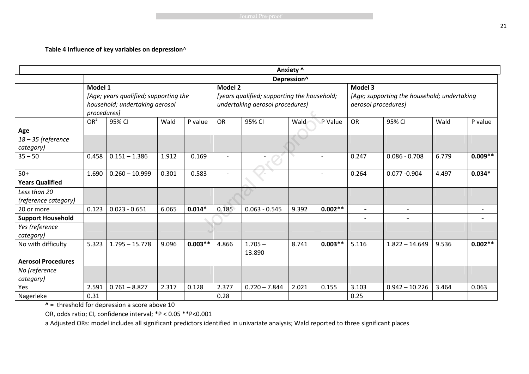### **Table 4 Influence of key variables on depression**^

|                                      | Anxiety ^                                                                                         |                  |       |           |                                                                                           |                     |       |                |                                                                               |                          |       |                          |
|--------------------------------------|---------------------------------------------------------------------------------------------------|------------------|-------|-----------|-------------------------------------------------------------------------------------------|---------------------|-------|----------------|-------------------------------------------------------------------------------|--------------------------|-------|--------------------------|
|                                      |                                                                                                   | Depression^      |       |           |                                                                                           |                     |       |                |                                                                               |                          |       |                          |
|                                      | Model 1<br>[Age; years qualified; supporting the<br>household; undertaking aerosol<br>procedures] |                  |       |           | Model 2<br>[years qualified; supporting the household;<br>undertaking aerosol procedures] |                     |       |                | Model 3<br>[Age; supporting the household; undertaking<br>aerosol procedures] |                          |       |                          |
|                                      | OR <sup>a</sup>                                                                                   | 95% CI           | Wald  | P value   | <b>OR</b>                                                                                 | 95% CI              | Wald  | P Value        | <b>OR</b>                                                                     | 95% CI                   | Wald  | P value                  |
| Age                                  |                                                                                                   |                  |       |           |                                                                                           |                     |       |                |                                                                               |                          |       |                          |
| $18 - 35$ (reference<br>category)    |                                                                                                   |                  |       |           |                                                                                           |                     |       |                |                                                                               |                          |       |                          |
| $35 - 50$                            | 0.458                                                                                             | $0.151 - 1.386$  | 1.912 | 0.169     |                                                                                           |                     |       |                | 0.247                                                                         | $0.086 - 0.708$          | 6.779 | $0.009**$                |
| $50+$                                | 1.690                                                                                             | $0.260 - 10.999$ | 0.301 | 0.583     | $\sim$                                                                                    | 74                  |       | $\overline{a}$ | 0.264                                                                         | $0.077 - 0.904$          | 4.497 | $0.034*$                 |
| <b>Years Qualified</b>               |                                                                                                   |                  |       |           |                                                                                           |                     |       |                |                                                                               |                          |       |                          |
| Less than 20<br>(reference category) |                                                                                                   |                  |       |           |                                                                                           |                     |       |                |                                                                               |                          |       |                          |
| 20 or more                           | 0.123                                                                                             | $0.023 - 0.651$  | 6.065 | $0.014*$  | 0.185                                                                                     | $0.063 - 0.545$     | 9.392 | $0.002**$      | $\overline{\phantom{a}}$                                                      | $\overline{\phantom{a}}$ |       | $\overline{\phantom{a}}$ |
| <b>Support Household</b>             |                                                                                                   |                  |       |           |                                                                                           |                     |       |                | $\overline{\phantom{a}}$                                                      | $\overline{\phantom{a}}$ |       | $\overline{\phantom{a}}$ |
| Yes (reference<br>category)          |                                                                                                   |                  |       |           |                                                                                           |                     |       |                |                                                                               |                          |       |                          |
| No with difficulty                   | 5.323                                                                                             | $1.795 - 15.778$ | 9.096 | $0.003**$ | 4.866                                                                                     | $1.705 -$<br>13.890 | 8.741 | $0.003**$      | 5.116                                                                         | $1.822 - 14.649$         | 9.536 | $0.002**$                |
| <b>Aerosol Procedures</b>            |                                                                                                   |                  |       |           |                                                                                           |                     |       |                |                                                                               |                          |       |                          |
| No (reference                        |                                                                                                   |                  |       |           |                                                                                           |                     |       |                |                                                                               |                          |       |                          |
| category)                            |                                                                                                   |                  |       |           |                                                                                           |                     |       |                |                                                                               |                          |       |                          |
| Yes                                  | 2.591                                                                                             | $0.761 - 8.827$  | 2.317 | 0.128     | 2.377                                                                                     | $0.720 - 7.844$     | 2.021 | 0.155          | 3.103                                                                         | $0.942 - 10.226$         | 3.464 | 0.063                    |
| Nagerleke                            | 0.31                                                                                              |                  |       |           | 0.28                                                                                      |                     |       |                | 0.25                                                                          |                          |       |                          |

**^ =** threshold for depression a score above 10

OR, odds ratio; CI, confidence interval; \*P < 0.05 \*\*P<0.001

a Adjusted ORs: model includes all significant predictors identified in univariate analysis; Wald reported to three significant places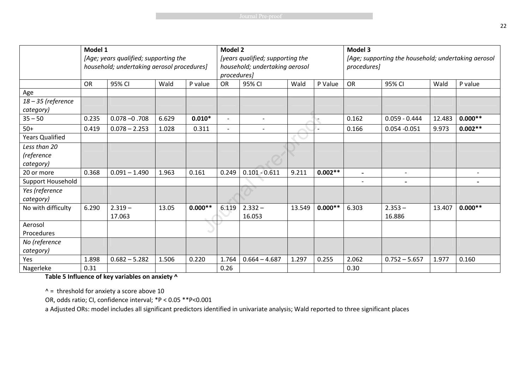|                                         | Model 1<br>[Age; years qualified; supporting the<br>household; undertaking aerosol procedures]<br><b>OR</b><br>95% CI<br>Wald<br>P value |                     |       |           | Model 2<br>procedures]<br><b>OR</b> | [years qualified; supporting the<br>household; undertaking aerosol<br>95% CI | Wald   | P Value                  | Model 3<br>[Age; supporting the household; undertaking aerosol<br>procedures]<br><b>OR</b><br>95% CI<br>Wald<br>P value |                          |        |           |
|-----------------------------------------|------------------------------------------------------------------------------------------------------------------------------------------|---------------------|-------|-----------|-------------------------------------|------------------------------------------------------------------------------|--------|--------------------------|-------------------------------------------------------------------------------------------------------------------------|--------------------------|--------|-----------|
| Age                                     |                                                                                                                                          |                     |       |           |                                     |                                                                              |        |                          |                                                                                                                         |                          |        |           |
| $18 - 35$ (reference<br>category)       |                                                                                                                                          |                     |       |           |                                     |                                                                              |        |                          |                                                                                                                         |                          |        |           |
| $35 - 50$                               | 0.235                                                                                                                                    | $0.078 - 0.708$     | 6.629 | $0.010*$  | $\overline{\phantom{a}}$            | $\overline{\phantom{a}}$                                                     |        | $\overline{\phantom{a}}$ | 0.162                                                                                                                   | $0.059 - 0.444$          | 12.483 | $0.000**$ |
| $50+$                                   | 0.419                                                                                                                                    | $0.078 - 2.253$     | 1.028 | 0.311     | $\overline{\phantom{a}}$            | $\overline{\phantom{a}}$                                                     |        |                          | 0.166                                                                                                                   | $0.054 - 0.051$          | 9.973  | $0.002**$ |
| <b>Years Qualified</b>                  |                                                                                                                                          |                     |       |           |                                     |                                                                              |        |                          |                                                                                                                         |                          |        |           |
| Less than 20<br>(reference<br>category) |                                                                                                                                          |                     |       |           |                                     |                                                                              |        |                          |                                                                                                                         |                          |        |           |
| 20 or more                              | 0.368                                                                                                                                    | $0.091 - 1.490$     | 1.963 | 0.161     | 0.249                               | $0.101 - 0.611$                                                              | 9.211  | $0.002**$                | $\overline{a}$                                                                                                          | $\overline{\phantom{a}}$ |        |           |
| Support Household                       |                                                                                                                                          |                     |       |           |                                     |                                                                              |        |                          | $\overline{\phantom{0}}$                                                                                                | $\overline{\phantom{0}}$ |        |           |
| Yes (reference<br>category)             |                                                                                                                                          |                     |       |           |                                     |                                                                              |        |                          |                                                                                                                         |                          |        |           |
| No with difficulty                      | 6.290                                                                                                                                    | $2.319 -$<br>17.063 | 13.05 | $0.000**$ | 6.119                               | $2.332 -$<br>16.053                                                          | 13.549 | $0.000**$                | 6.303                                                                                                                   | $2.353 -$<br>16.886      | 13.407 | $0.000**$ |
| Aerosol<br>Procedures                   |                                                                                                                                          |                     |       |           |                                     |                                                                              |        |                          |                                                                                                                         |                          |        |           |
| No (reference<br>category)              |                                                                                                                                          |                     |       |           |                                     |                                                                              |        |                          |                                                                                                                         |                          |        |           |
| Yes                                     | 1.898                                                                                                                                    | $0.682 - 5.282$     | 1.506 | 0.220     | 1.764                               | $0.664 - 4.687$                                                              | 1.297  | 0.255                    | 2.062                                                                                                                   | $0.752 - 5.657$          | 1.977  | 0.160     |
| Nagerleke                               | 0.31                                                                                                                                     |                     |       |           | 0.26                                |                                                                              |        |                          | 0.30                                                                                                                    |                          |        |           |

**Table 5 Influence of key variables on anxiety ^** 

 $^{\circ}$  = threshold for anxiety a score above 10

OR, odds ratio; CI, confidence interval; \*P < 0.05 \*\*P<0.001

a Adjusted ORs: model includes all significant predictors identified in univariate analysis; Wald reported to three significant places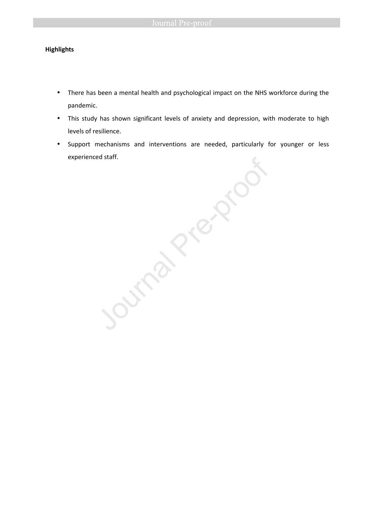### **Highlights**

- There has been a mental health and psychological impact on the NHS workforce during the pandemic.
- This study has shown significant levels of anxiety and depression, with moderate to high levels of resilience.
- Support mechanisms and interventions are needed, particularly for younger or less

experienced staff.